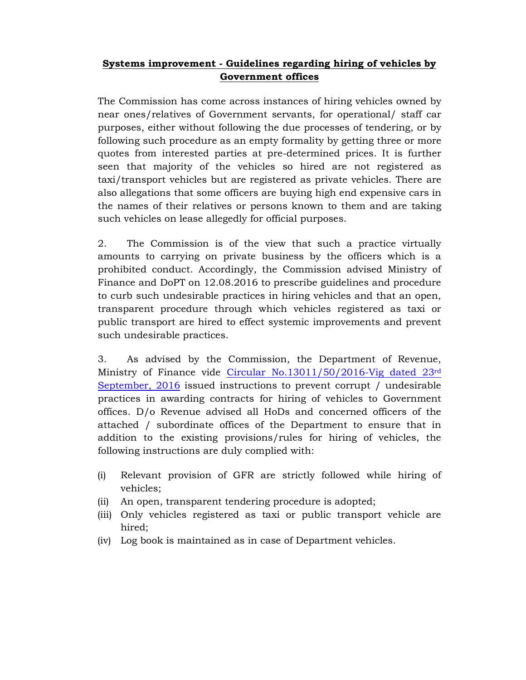## **Systems improvement - Guidelines regarding hiring of vehicles by Government offices**

The Commission has come across instances of hiring vehicles owned by near ones/relatives of Government servants, for operational/ staff car purposes, either without following the due processes of tendering, or by following such procedure as an empty formality by getting three or more quotes from interested parties at pre-determined prices. It is further seen that majority of the vehicles so hired are not registered as taxi/transport vehicles but are registered as private vehicles. There are also allegations that some officers are buying high end expensive cars in the names of their relatives or persons known to them and are taking such vehicles on lease allegedly for official purposes.

2. The Commission is of the view that such a practice virtually amounts to carrying on private business by the officers which is a prohibited conduct. Accordingly, the Commission advised Ministry of Finance and DoPT on 12.08.2016 to prescribe guidelines and procedure to curb such undesirable practices in hiring vehicles and that an open, transparent procedure through which vehicles registered as taxi or public transport are hired to effect systemic improvements and prevent such undesirable practices.

3. As advised by the Commission, the Department of Revenue, Ministry of Finance vide Circular No.13011/50/2016-Vig dated 23rd September, 2016 issued instructions to prevent corrupt / undesirable practices in awarding contracts for hiring of vehicles to Government offices. D/o Revenue advised all HoDs and concerned officers of the attached / subordinate offices of the Department to ensure that in addition to the existing provisions/rules for hiring of vehicles, the following instructions are duly complied with:

- (i) Relevant provision of GFR are strictly followed while hiring of vehicles;
- (ii) An open, transparent tendering procedure is adopted;
- (iii) Only vehicles registered as taxi or public transport vehicle are hired;
- (iv) Log book is maintained as in case of Department vehicles.